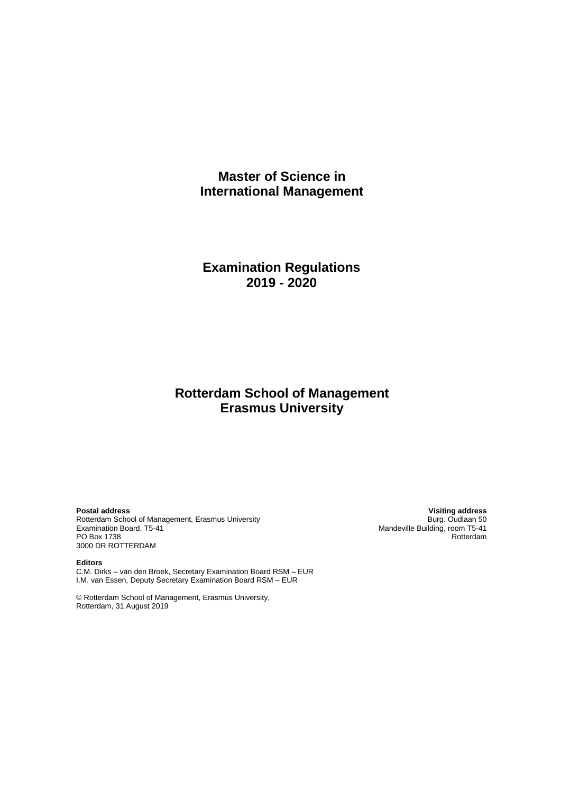# **Master of Science in International Management**

# **Examination Regulations 2019 - 2020**

# **Rotterdam School of Management Erasmus University**

Rotterdam School of Management, Erasmus University<br>Examination Board, T5-41 PO Box 1738 3000 DR ROTTERDAM

**Editors** C.M. Dirks – van den Broek, Secretary Examination Board RSM – EUR I.M. van Essen, Deputy Secretary Examination Board RSM – EUR

© Rotterdam School of Management, Erasmus University, Rotterdam, 31 August 2019

**Postal address Visiting address** Mandeville Building, room T5-41<br>Rotterdam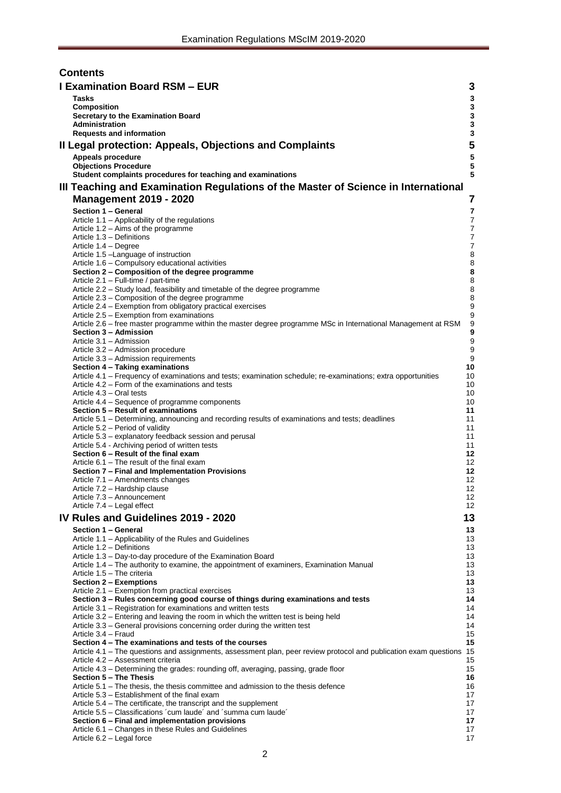| <b>Contents</b> |                                                                                                                                                                            |                            |  |  |  |  |
|-----------------|----------------------------------------------------------------------------------------------------------------------------------------------------------------------------|----------------------------|--|--|--|--|
|                 | <b>I Examination Board RSM - EUR</b>                                                                                                                                       | 3                          |  |  |  |  |
|                 | <b>Tasks</b>                                                                                                                                                               | 3                          |  |  |  |  |
|                 | <b>Composition</b>                                                                                                                                                         | $\mathbf 3$                |  |  |  |  |
|                 | Secretary to the Examination Board<br>Administration                                                                                                                       | $\mathbf 3$<br>$\mathbf 3$ |  |  |  |  |
|                 | <b>Requests and information</b>                                                                                                                                            | $\mathbf 3$                |  |  |  |  |
|                 | Il Legal protection: Appeals, Objections and Complaints                                                                                                                    | 5                          |  |  |  |  |
|                 | Appeals procedure                                                                                                                                                          | 5                          |  |  |  |  |
|                 | <b>Objections Procedure</b>                                                                                                                                                | 5                          |  |  |  |  |
|                 | Student complaints procedures for teaching and examinations                                                                                                                | 5                          |  |  |  |  |
|                 | III Teaching and Examination Regulations of the Master of Science in International                                                                                         |                            |  |  |  |  |
|                 | <b>Management 2019 - 2020</b>                                                                                                                                              | 7                          |  |  |  |  |
|                 | Section 1 - General                                                                                                                                                        | $\overline{\mathbf{r}}$    |  |  |  |  |
|                 | Article 1.1 - Applicability of the regulations<br>Article 1.2 - Aims of the programme                                                                                      | 7<br>7                     |  |  |  |  |
|                 | Article 1.3 - Definitions                                                                                                                                                  | $\boldsymbol{7}$           |  |  |  |  |
|                 | Article 1.4 - Degree                                                                                                                                                       | $\overline{7}$             |  |  |  |  |
|                 | Article 1.5 - Language of instruction<br>Article 1.6 - Compulsory educational activities                                                                                   | 8<br>8                     |  |  |  |  |
|                 | Section 2 – Composition of the degree programme                                                                                                                            | 8                          |  |  |  |  |
|                 | Article 2.1 - Full-time / part-time                                                                                                                                        | 8                          |  |  |  |  |
|                 | Article 2.2 - Study load, feasibility and timetable of the degree programme                                                                                                | 8<br>8                     |  |  |  |  |
|                 | Article 2.3 - Composition of the degree programme<br>Article 2.4 - Exemption from obligatory practical exercises                                                           | 9                          |  |  |  |  |
|                 | Article 2.5 - Exemption from examinations                                                                                                                                  | 9                          |  |  |  |  |
|                 | Article 2.6 - free master programme within the master degree programme MSc in International Management at RSM                                                              | 9<br>$\boldsymbol{9}$      |  |  |  |  |
|                 | Section 3 - Admission<br>Article 3.1 - Admission                                                                                                                           | $\boldsymbol{9}$           |  |  |  |  |
|                 | Article 3.2 - Admission procedure                                                                                                                                          | $\boldsymbol{9}$           |  |  |  |  |
|                 | Article 3.3 - Admission requirements                                                                                                                                       | 9                          |  |  |  |  |
|                 | Section 4 - Taking examinations<br>Article 4.1 – Frequency of examinations and tests; examination schedule; re-examinations; extra opportunities                           | 10<br>10                   |  |  |  |  |
|                 | Article 4.2 – Form of the examinations and tests                                                                                                                           | 10                         |  |  |  |  |
|                 | Article 4.3 – Oral tests                                                                                                                                                   | 10                         |  |  |  |  |
|                 | Article 4.4 – Sequence of programme components<br>Section 5 - Result of examinations                                                                                       | 10<br>11                   |  |  |  |  |
|                 | Article 5.1 – Determining, announcing and recording results of examinations and tests; deadlines                                                                           | 11                         |  |  |  |  |
|                 | Article 5.2 – Period of validity                                                                                                                                           | 11                         |  |  |  |  |
|                 | Article 5.3 – explanatory feedback session and perusal<br>Article 5.4 - Archiving period of written tests                                                                  | 11<br>11                   |  |  |  |  |
|                 | Section 6 – Result of the final exam                                                                                                                                       | 12                         |  |  |  |  |
|                 | Article 6.1 – The result of the final exam                                                                                                                                 | 12                         |  |  |  |  |
|                 | Section 7 - Final and Implementation Provisions<br>Article 7.1 - Amendments changes                                                                                        | 12<br>12                   |  |  |  |  |
|                 | Article 7.2 - Hardship clause                                                                                                                                              | 12                         |  |  |  |  |
|                 | Article 7.3 - Announcement                                                                                                                                                 | 12                         |  |  |  |  |
|                 | Article 7.4 - Legal effect                                                                                                                                                 | 12 <sup>°</sup>            |  |  |  |  |
|                 | IV Rules and Guidelines 2019 - 2020                                                                                                                                        | 13                         |  |  |  |  |
|                 | Section 1 - General<br>Article 1.1 - Applicability of the Rules and Guidelines                                                                                             | 13<br>13                   |  |  |  |  |
|                 | Article 1.2 - Definitions                                                                                                                                                  | 13                         |  |  |  |  |
|                 | Article 1.3 - Day-to-day procedure of the Examination Board                                                                                                                | 13                         |  |  |  |  |
|                 | Article 1.4 - The authority to examine, the appointment of examiners, Examination Manual<br>Article 1.5 - The criteria                                                     | 13<br>13                   |  |  |  |  |
|                 | Section 2 - Exemptions                                                                                                                                                     | 13                         |  |  |  |  |
|                 | Article 2.1 - Exemption from practical exercises                                                                                                                           | 13                         |  |  |  |  |
|                 | Section 3 - Rules concerning good course of things during examinations and tests<br>Article 3.1 - Registration for examinations and written tests                          | 14<br>14                   |  |  |  |  |
|                 | Article 3.2 – Entering and leaving the room in which the written test is being held                                                                                        | 14                         |  |  |  |  |
|                 | Article 3.3 - General provisions concerning order during the written test                                                                                                  | 14                         |  |  |  |  |
|                 | Article 3.4 - Fraud                                                                                                                                                        | 15<br>15                   |  |  |  |  |
|                 | Section 4 – The examinations and tests of the courses<br>Article 4.1 - The questions and assignments, assessment plan, peer review protocol and publication exam questions | 15                         |  |  |  |  |
|                 | Article 4.2 - Assessment criteria                                                                                                                                          | 15                         |  |  |  |  |
|                 | Article 4.3 – Determining the grades: rounding off, averaging, passing, grade floor                                                                                        | 15                         |  |  |  |  |
|                 | Section 5 - The Thesis<br>Article 5.1 – The thesis, the thesis committee and admission to the thesis defence                                                               | 16<br>16                   |  |  |  |  |
|                 | Article 5.3 – Establishment of the final exam                                                                                                                              | 17                         |  |  |  |  |
|                 | Article 5.4 – The certificate, the transcript and the supplement                                                                                                           | 17                         |  |  |  |  |
|                 | Article 5.5 - Classifications 'cum laude' and 'summa cum laude'<br>Section 6 - Final and implementation provisions                                                         | 17<br>17                   |  |  |  |  |
|                 | Article 6.1 - Changes in these Rules and Guidelines                                                                                                                        | 17                         |  |  |  |  |
|                 | Article 6.2 - Legal force                                                                                                                                                  | 17                         |  |  |  |  |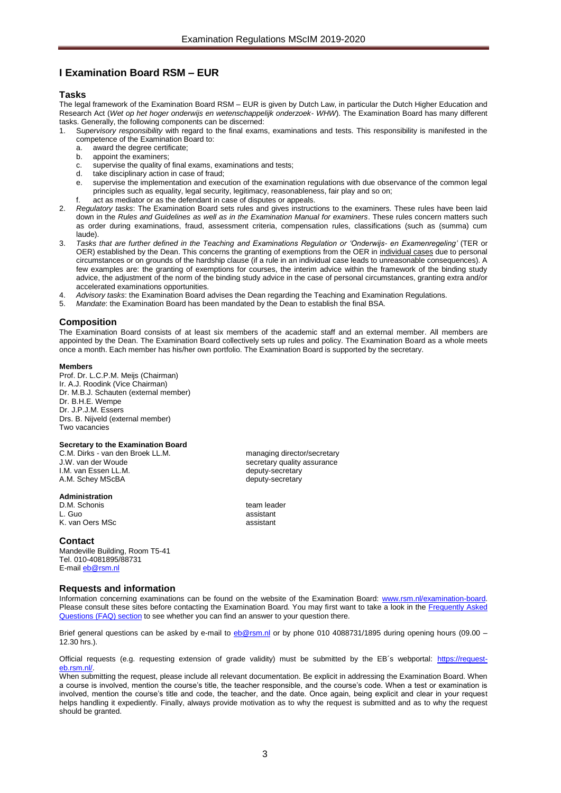# <span id="page-2-0"></span>**I Examination Board RSM – EUR**

# <span id="page-2-1"></span>**Tasks**

The legal framework of the Examination Board RSM – EUR is given by Dutch Law, in particular the Dutch Higher Education and Research Act (*Wet op het hoger onderwijs en wetenschappelijk onderzoek- WHW*). The Examination Board has many different tasks. Generally, the following components can be discerned:

- 1. S*upervisory responsibility* with regard to the final exams, examinations and tests. This responsibility is manifested in the competence of the Examination Board to:<br>a. award the degree certificate:
	- award the degree certificate;
	- b. appoint the examiners;
	- c. supervise the quality of final exams, examinations and tests;
	- d. take disciplinary action in case of fraud;
	- e. supervise the implementation and execution of the examination regulations with due observance of the common legal principles such as equality, legal security, legitimacy, reasonableness, fair play and so on;
	- f. act as mediator or as the defendant in case of disputes or appeals.
- 2. *Regulatory tasks*: The Examination Board sets rules and gives instructions to the examiners. These rules have been laid down in the *Rules and Guidelines as well as in the Examination Manual for examiners*. These rules concern matters such as order during examinations, fraud, assessment criteria, compensation rules, classifications (such as (summa) cum laude).
- 3. *Tasks that are further defined in the Teaching and Examinations Regulation or 'Onderwijs- en Examenregeling'* (TER or OER) established by the Dean. This concerns the granting of exemptions from the OER in individual cases due to personal circumstances or on grounds of the hardship clause (if a rule in an individual case leads to unreasonable consequences). A few examples are: the granting of exemptions for courses, the interim advice within the framework of the binding study advice, the adjustment of the norm of the binding study advice in the case of personal circumstances, granting extra and/or accelerated examinations opportunities.
- 4. *Advisory tasks*: the Examination Board advises the Dean regarding the Teaching and Examination Regulations.
- 5. *Mandate*: the Examination Board has been mandated by the Dean to establish the final BSA.

# <span id="page-2-2"></span>**Composition**

The Examination Board consists of at least six members of the academic staff and an external member. All members are appointed by the Dean. The Examination Board collectively sets up rules and policy. The Examination Board as a whole meets once a month. Each member has his/her own portfolio. The Examination Board is supported by the secretary.

#### **Members**

Prof. Dr. L.C.P.M. Meijs (Chairman) Ir. A.J. Roodink (Vice Chairman) Dr. M.B.J. Schauten (external member) Dr. B.H.E. Wempe Dr. J.P.J.M. Essers Drs. B. Nijveld (external member) Two vacancies

#### <span id="page-2-3"></span>**Secretary to the Examination Board**

C.M. Dirks - van den Broek LL.M.<br>
J.W. van der Woude by de ander the secretary quality assurance I.M. van Essen LL.M. deputy-secretary<br>
A.M. Schey MScBA deputy-secretary A.M. Schey MScBA

#### <span id="page-2-4"></span>**Administration**

D.M. Schonis team leader<br>
L. Guo assistant L. Guo assistant K. van Oers MSc assistant

# **Contact**

Mandeville Building, Room T5-41 Tel. 010-4081895/88731 E-mail [eb@rsm.nl](mailto:eb@rsm.nl)

# <span id="page-2-5"></span>**Requests and information**

secretary quality assurance<br>deputy-secretary

Information concerning examinations can be found on the website of the Examination Board: [www.rsm.nl/examination-board.](http://www.rsm.nl/examination-board) Please consult these sites before contacting the Examination Board. You may first want to take a look in the Frequently Asked [Questions \(FAQ\) section](http://www.rsm.nl/examination-board/frequently-asked-questions-faqs/) to see whether you can find an answer to your question there.

Brief general questions can be asked by e-mail to [eb@rsm.nl](mailto:eb@rsm.nl) or by phone 010 4088731/1895 during opening hours (09.00 – 12.30 hrs.).

Official requests (e.g. requesting extension of grade validity) must be submitted by the EB´s webportal: [https://request](https://request-eb.rsm.nl/)eb.rsm.nl/

When submitting the request, please include all relevant documentation. Be explicit in addressing the Examination Board. When a course is involved, mention the course's title, the teacher responsible, and the course's code. When a test or examination is involved, mention the course's title and code, the teacher, and the date. Once again, being explicit and clear in your request helps handling it expediently. Finally, always provide motivation as to why the request is submitted and as to why the request should be granted.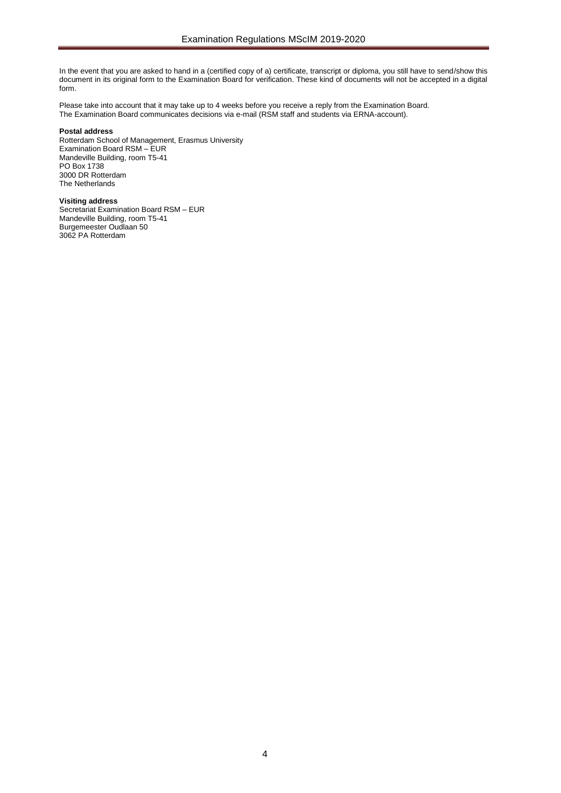In the event that you are asked to hand in a (certified copy of a) certificate, transcript or diploma, you still have to send/show this document in its original form to the Examination Board for verification. These kind of documents will not be accepted in a digital form.

Please take into account that it may take up to 4 weeks before you receive a reply from the Examination Board. The Examination Board communicates decisions via e-mail (RSM staff and students via ERNA-account).

# **Postal address**

Rotterdam School of Management, Erasmus University Examination Board RSM – EUR Mandeville Building, room T5-41 PO Box 1738 3000 DR Rotterdam The Netherlands

#### **Visiting address**

Secretariat Examination Board RSM – EUR Mandeville Building, room T5-41 Burgemeester Oudlaan 50 3062 PA Rotterdam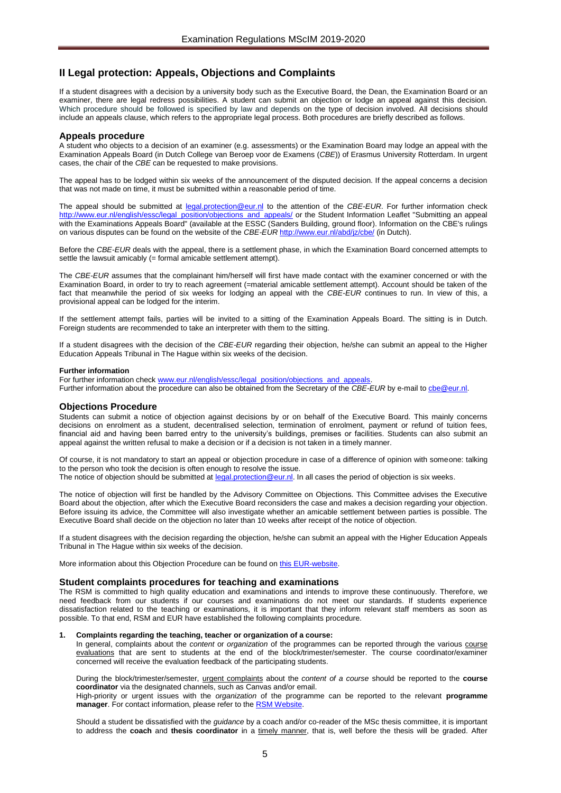# <span id="page-4-0"></span>**II Legal protection: Appeals, Objections and Complaints**

If a student disagrees with a decision by a university body such as the Executive Board, the Dean, the Examination Board or an examiner, there are legal redress possibilities. A student can submit an objection or lodge an appeal against this decision. Which procedure should be followed is specified by law and depends on the type of decision involved. All decisions should include an appeals clause, which refers to the appropriate legal process. Both procedures are briefly described as follows.

#### <span id="page-4-1"></span>**Appeals procedure**

A student who objects to a decision of an examiner (e.g. assessments) or the Examination Board may lodge an appeal with the Examination Appeals Board (in Dutch College van Beroep voor de Examens (*CBE*)) of Erasmus University Rotterdam. In urgent cases, the chair of the *CBE* can be requested to make provisions.

The appeal has to be lodged within six weeks of the announcement of the disputed decision. If the appeal concerns a decision that was not made on time, it must be submitted within a reasonable period of time.

The appeal should be submitted at [legal.protection@eur.nl](mailto:legal.protection@eur.nl) to the attention of the *CBE*-*EUR*. For further information check [http://www.eur.nl/english/essc/legal\\_position/objections\\_and\\_appeals/](http://www.eur.nl/english/essc/legal_position/objections_and_appeals/) or the Student Information Leaflet "Submitting an appeal with the Examinations Appeals Board" (available at the ESSC (Sanders Building, ground floor). Information on the CBE's rulings on various disputes can be found on the website of the *CBE-EUR* <http://www.eur.nl/abd/jz/cbe/> (in Dutch).

Before the *CBE*-*EUR* deals with the appeal, there is a settlement phase, in which the Examination Board concerned attempts to settle the lawsuit amicably (= formal amicable settlement attempt).

The *CBE*-*EUR* assumes that the complainant him/herself will first have made contact with the examiner concerned or with the Examination Board, in order to try to reach agreement (=material amicable settlement attempt). Account should be taken of the fact that meanwhile the period of six weeks for lodging an appeal with the *CBE*-*EUR* continues to run. In view of this, a provisional appeal can be lodged for the interim.

If the settlement attempt fails, parties will be invited to a sitting of the Examination Appeals Board. The sitting is in Dutch. Foreign students are recommended to take an interpreter with them to the sitting.

If a student disagrees with the decision of the *CBE-EUR* regarding their objection, he/she can submit an appeal to the Higher Education Appeals Tribunal in The Hague within six weeks of the decision.

#### **Further information**

For further information check www.eur.nl/english/essc/legal\_position/objections\_and\_appeals Further information about the procedure can also be obtained from the Secretary of the *CBE-EUR* by e-mail t[o cbe@eur.nl.](mailto:cbe@eur.nl)

### <span id="page-4-2"></span>**Objections Procedure**

Students can submit a notice of objection against decisions by or on behalf of the Executive Board. This mainly concerns decisions on enrolment as a student, decentralised selection, termination of enrolment, payment or refund of tuition fees, financial aid and having been barred entry to the university's buildings, premises or facilities. Students can also submit an appeal against the written refusal to make a decision or if a decision is not taken in a timely manner.

Of course, it is not mandatory to start an appeal or objection procedure in case of a difference of opinion with someone: talking to the person who took the decision is often enough to resolve the issue.

The notice of objection should be submitted a[t legal.protection@eur.nl.](mailto:legal.protection@eur.nl) In all cases the period of objection is six weeks.

The notice of objection will first be handled by the Advisory Committee on Objections. This Committee advises the Executive Board about the objection, after which the Executive Board reconsiders the case and makes a decision regarding your objection. Before issuing its advice, the Committee will also investigate whether an amicable settlement between parties is possible. The Executive Board shall decide on the objection no later than 10 weeks after receipt of the notice of objection.

If a student disagrees with the decision regarding the objection, he/she can submit an appeal with the Higher Education Appeals Tribunal in The Hague within six weeks of the decision.

More information about this Objection Procedure can be found on [this EUR-website.](http://www.eur.nl/english/essc/legal_position/objections_and_appeals/)

### <span id="page-4-3"></span>**Student complaints procedures for teaching and examinations**

The RSM is committed to high quality education and examinations and intends to improve these continuously. Therefore, we need feedback from our students if our courses and examinations do not meet our standards. If students experience dissatisfaction related to the teaching or examinations, it is important that they inform relevant staff members as soon as possible. To that end, RSM and EUR have established the following complaints procedure.

#### **1. Complaints regarding the teaching, teacher or organization of a course:**

In general, complaints about the *content* or *organization* of the programmes can be reported through the various course evaluations that are sent to students at the end of the block/trimester/semester. The course coordinator/examiner concerned will receive the evaluation feedback of the participating students.

During the block/trimester/semester, urgent complaints about the *content of a course* should be reported to the **course coordinator** via the designated channels, such as Canvas and/or email. High-priority or urgent issues with the *organization* of the programme can be reported to the relevant **programme manager**. For contact information, please refer to th[e RSM Website.](https://www.rsm.nl/information-for/current-students/) 

Should a student be dissatisfied with the *guidance* by a coach and/or co-reader of the MSc thesis committee, it is important to address the **coach** and **thesis coordinator** in a timely manner, that is, well before the thesis will be graded. After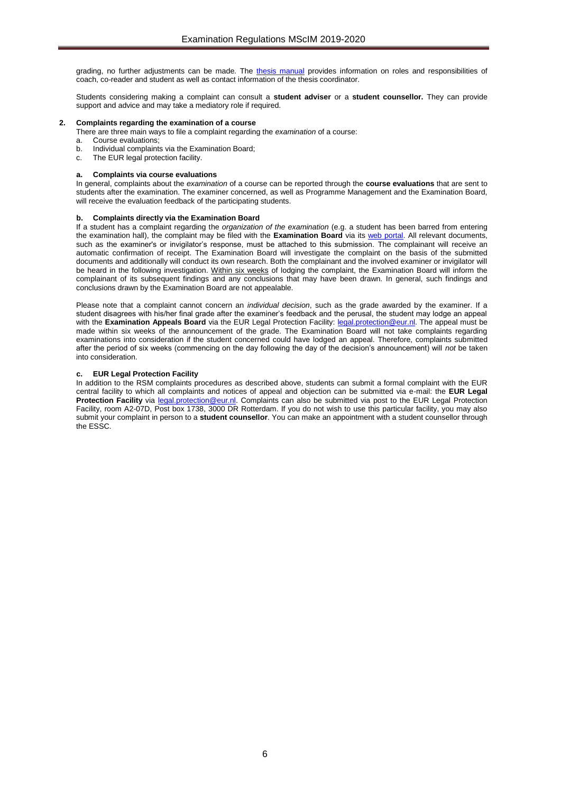grading, no further adjustments can be made. The [thesis manual](https://www.rsm.nl/fileadmin/Images_NEW/Current_Students/Master/Master_Thesis_manual_17-18__def.pdf) provides information on roles and responsibilities of coach, co-reader and student as well as contact information of the thesis coordinator.

Students considering making a complaint can consult a **student adviser** or a **student counsellor.** They can provide support and advice and may take a mediatory role if required.

#### **2. Complaints regarding the examination of a course**

There are three main ways to file a complaint regarding the *examination* of a course:

- a. Course evaluations;
- b. Individual complaints via the Examination Board;
- c. The EUR legal protection facility.

#### **a. Complaints via course evaluations**

In general, complaints about the *examination* of a course can be reported through the **course evaluations** that are sent to students after the examination. The examiner concerned, as well as Programme Management and the Examination Board, will receive the evaluation feedback of the participating students.

#### **b. Complaints directly via the Examination Board**

If a student has a complaint regarding the *organization of the examination* (e.g. a student has been barred from entering the examination hall), the complaint may be filed with the **Examination Board** via its [web portal.](https://request-eb.rsm.nl/) All relevant documents, such as the examiner's or invigilator's response, must be attached to this submission. The complainant will receive an automatic confirmation of receipt. The Examination Board will investigate the complaint on the basis of the submitted documents and additionally will conduct its own research. Both the complainant and the involved examiner or invigilator will be heard in the following investigation. Within six weeks of lodging the complaint, the Examination Board will inform the complainant of its subsequent findings and any conclusions that may have been drawn. In general, such findings and conclusions drawn by the Examination Board are not appealable.

Please note that a complaint cannot concern an *individual decision*, such as the grade awarded by the examiner. If a student disagrees with his/her final grade after the examiner's feedback and the perusal, the student may lodge an appeal with the **Examination Appeals Board** via the EUR Legal Protection Facility: [legal.protection@eur.nl.](mailto:legal.protection@eur.nl) The appeal must be made within six weeks of the announcement of the grade. The Examination Board will not take complaints regarding examinations into consideration if the student concerned could have lodged an appeal. Therefore, complaints submitted after the period of six weeks (commencing on the day following the day of the decision's announcement) will *not* be taken into consideration.

#### **c. EUR Legal Protection Facility**

In addition to the RSM complaints procedures as described above, students can submit a formal complaint with the EUR central facility to which all complaints and notices of appeal and objection can be submitted via e-mail: the **EUR Legal Protection Facility** via [legal.protection@eur.nl.](mailto:legal.protection@eur.nl) Complaints can also be submitted via post to the EUR Legal Protection Facility, room A2-07D, Post box 1738, 3000 DR Rotterdam. If you do not wish to use this particular facility, you may also submit your complaint in person to a **student counsellor**. You can make an appointment with a student counsellor through the ESSC.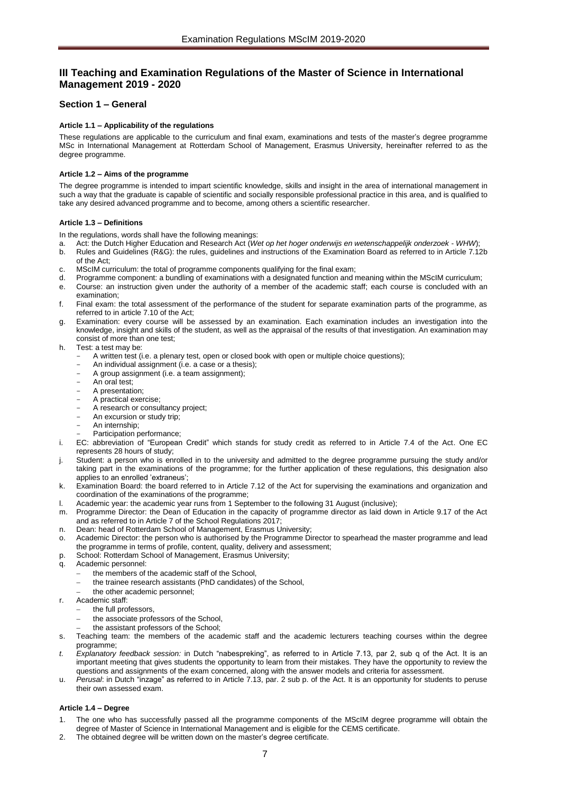# <span id="page-6-0"></span>**III Teaching and Examination Regulations of the Master of Science in International Management 2019 - 2020**

# <span id="page-6-2"></span><span id="page-6-1"></span>**Section 1 – General**

# **Article 1.1 – Applicability of the regulations**

These regulations are applicable to the curriculum and final exam, examinations and tests of the master's degree programme MSc in International Management at Rotterdam School of Management, Erasmus University, hereinafter referred to as the degree programme.

# <span id="page-6-3"></span>**Article 1.2 – Aims of the programme**

The degree programme is intended to impart scientific knowledge, skills and insight in the area of international management in such a way that the graduate is capable of scientific and socially responsible professional practice in this area, and is qualified to take any desired advanced programme and to become, among others a scientific researcher.

# <span id="page-6-4"></span>**Article 1.3 – Definitions**

In the regulations, words shall have the following meanings:

- a. Act: the Dutch Higher Education and Research Act (*Wet op het hoger onderwijs en wetenschappelijk onderzoek WHW*);
- b. Rules and Guidelines (R&G): the rules, guidelines and instructions of the Examination Board as referred to in Article 7.12b of the Act;
- c. MScIM curriculum: the total of programme components qualifying for the final exam;
- d. Programme component: a bundling of examinations with a designated function and meaning within the MScIM curriculum;
- e. Course: an instruction given under the authority of a member of the academic staff; each course is concluded with an examination;
- f. Final exam: the total assessment of the performance of the student for separate examination parts of the programme, as referred to in article 7.10 of the Act;
- Examination: every course will be assessed by an examination. Each examination includes an investigation into the knowledge, insight and skills of the student, as well as the appraisal of the results of that investigation. An examination may consist of more than one test;
- h. Test: a test may be:
	- A written test (i.e. a plenary test, open or closed book with open or multiple choice questions);
	- An individual assignment (i.e. a case or a thesis);
	- A group assignment (i.e. a team assignment);
	- An oral test;
	- A presentation;
	- A practical exercise;
	- A research or consultancy project;
	- An excursion or study trip;
	- An internship; Participation performance:
- i. EC: abbreviation of "European Credit" which stands for study credit as referred to in Article 7.4 of the Act. One EC represents 28 hours of study;
- Student: a person who is enrolled in to the university and admitted to the degree programme pursuing the study and/or taking part in the examinations of the programme; for the further application of these regulations, this designation also applies to an enrolled 'extraneus';
- k. Examination Board: the board referred to in Article 7.12 of the Act for supervising the examinations and organization and coordination of the examinations of the programme;
- l. Academic year: the academic year runs from 1 September to the following 31 August (inclusive);
- m. Programme Director: the Dean of Education in the capacity of programme director as laid down in Article 9.17 of the Act and as referred to in Article 7 of the School Regulations 2017;
- n. Dean: head of Rotterdam School of Management, Erasmus University;
- Academic Director: the person who is authorised by the Programme Director to spearhead the master programme and lead the programme in terms of profile, content, quality, delivery and assessment;
- p. School: Rotterdam School of Management, Erasmus University;
- q. Academic personnel:
	- the members of the academic staff of the School,
	- the trainee research assistants (PhD candidates) of the School,
	- the other academic personnel;
- r. Academic staff:
- the full professors,
	- the associate professors of the School,
	- the assistant professors of the School;
- Teaching team: the members of the academic staff and the academic lecturers teaching courses within the degree programme;
- *t. Explanatory feedback session:* in Dutch "nabespreking", as referred to in Article 7.13, par 2, sub q of the Act. It is an important meeting that gives students the opportunity to learn from their mistakes. They have the opportunity to review the questions and assignments of the exam concerned, along with the answer models and criteria for assessment.
- u. *Perusal*: in Dutch "inzage" as referred to in Article 7.13, par. 2 sub p. of the Act. It is an opportunity for students to peruse their own assessed exam.

# <span id="page-6-5"></span>**Article 1.4 – Degree**

- 1. The one who has successfully passed all the programme components of the MScIM degree programme will obtain the degree of Master of Science in International Management and is eligible for the CEMS certificate.
- The obtained degree will be written down on the master's degree certificate.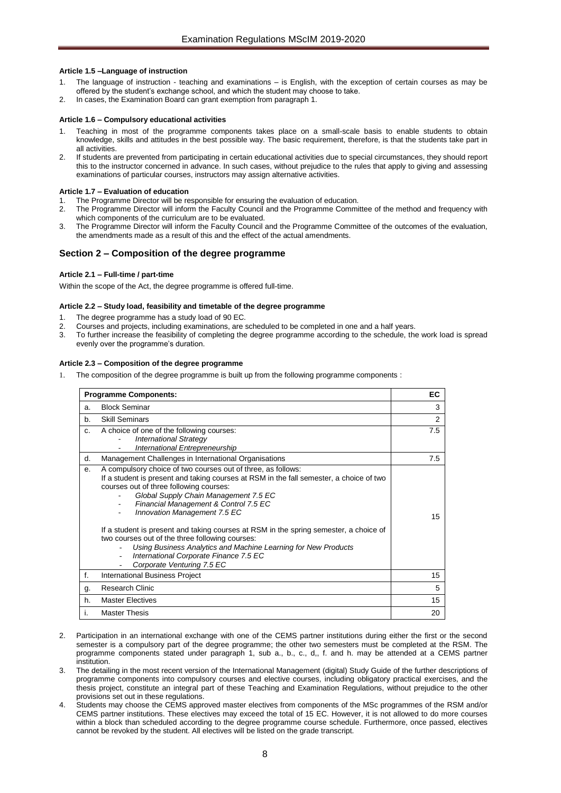# <span id="page-7-0"></span>**Article 1.5 –Language of instruction**

- 1. The language of instruction teaching and examinations is English, with the exception of certain courses as may be offered by the student's exchange school, and which the student may choose to take.
- <span id="page-7-1"></span>2. In cases, the Examination Board can grant exemption from paragraph 1.

## **Article 1.6 – Compulsory educational activities**

- Teaching in most of the programme components takes place on a small-scale basis to enable students to obtain knowledge, skills and attitudes in the best possible way. The basic requirement, therefore, is that the students take part in all activities.
- 2. If students are prevented from participating in certain educational activities due to special circumstances, they should report this to the instructor concerned in advance. In such cases, without prejudice to the rules that apply to giving and assessing examinations of particular courses, instructors may assign alternative activities.

# **Article 1.7 – Evaluation of education**

- The Programme Director will be responsible for ensuring the evaluation of education.
- 2. The Programme Director will inform the Faculty Council and the Programme Committee of the method and frequency with which components of the curriculum are to be evaluated.
- 3. The Programme Director will inform the Faculty Council and the Programme Committee of the outcomes of the evaluation, the amendments made as a result of this and the effect of the actual amendments.

# <span id="page-7-2"></span>**Section 2 – Composition of the degree programme**

# <span id="page-7-3"></span>**Article 2.1 – Full-time / part-time**

<span id="page-7-4"></span>Within the scope of the Act, the degree programme is offered full-time.

# **Article 2.2 – Study load, feasibility and timetable of the degree programme**

- 1. The degree programme has a study load of 90 EC.
- 2. Courses and projects, including examinations, are scheduled to be completed in one and a half years.<br>2. To further increase the feasibility of completing the degree programme according to the schedule, the
- 3. To further increase the feasibility of completing the degree programme according to the schedule, the work load is spread evenly over the programme's duration.

# <span id="page-7-5"></span>**Article 2.3 – Composition of the degree programme**

The composition of the degree programme is built up from the following programme components :

| <b>Programme Components:</b> |                                                                                                                                                                                                                                                                                                                                                                                                                                                                                                                                                                                                            |     |  |
|------------------------------|------------------------------------------------------------------------------------------------------------------------------------------------------------------------------------------------------------------------------------------------------------------------------------------------------------------------------------------------------------------------------------------------------------------------------------------------------------------------------------------------------------------------------------------------------------------------------------------------------------|-----|--|
| a.                           | <b>Block Seminar</b>                                                                                                                                                                                                                                                                                                                                                                                                                                                                                                                                                                                       | 3   |  |
| b.                           | <b>Skill Seminars</b>                                                                                                                                                                                                                                                                                                                                                                                                                                                                                                                                                                                      |     |  |
| C.                           | A choice of one of the following courses:<br><b>International Strategy</b><br>International Entrepreneurship                                                                                                                                                                                                                                                                                                                                                                                                                                                                                               | 7.5 |  |
| d.                           | Management Challenges in International Organisations                                                                                                                                                                                                                                                                                                                                                                                                                                                                                                                                                       | 7.5 |  |
| е.                           | A compulsory choice of two courses out of three, as follows:<br>If a student is present and taking courses at RSM in the fall semester, a choice of two<br>courses out of three following courses:<br>Global Supply Chain Management 7.5 EC<br>Financial Management & Control 7.5 EC<br>Innovation Management 7.5 EC<br>If a student is present and taking courses at RSM in the spring semester, a choice of<br>two courses out of the three following courses:<br>Using Business Analytics and Machine Learning for New Products<br>International Corporate Finance 7.5 EC<br>Corporate Venturing 7.5 EC | 15  |  |
| f.                           | International Business Project                                                                                                                                                                                                                                                                                                                                                                                                                                                                                                                                                                             | 15  |  |
| g.                           | <b>Research Clinic</b>                                                                                                                                                                                                                                                                                                                                                                                                                                                                                                                                                                                     |     |  |
| h.                           | <b>Master Electives</b>                                                                                                                                                                                                                                                                                                                                                                                                                                                                                                                                                                                    |     |  |
| Ъ.                           | <b>Master Thesis</b>                                                                                                                                                                                                                                                                                                                                                                                                                                                                                                                                                                                       | 20  |  |

- 2. Participation in an international exchange with one of the CEMS partner institutions during either the first or the second semester is a compulsory part of the degree programme; the other two semesters must be completed at the RSM. The programme components stated under paragraph 1, sub a., b., c., d,, f. and h. may be attended at a CEMS partner institution.
- 3. The detailing in the most recent version of the International Management (digital) Study Guide of the further descriptions of programme components into compulsory courses and elective courses, including obligatory practical exercises, and the thesis project, constitute an integral part of these Teaching and Examination Regulations, without prejudice to the other provisions set out in these regulations.
- Students may choose the CEMS approved master electives from components of the MSc programmes of the RSM and/or CEMS partner institutions. These electives may exceed the total of 15 EC. However, it is not allowed to do more courses within a block than scheduled according to the degree programme course schedule. Furthermore, once passed, electives cannot be revoked by the student. All electives will be listed on the grade transcript.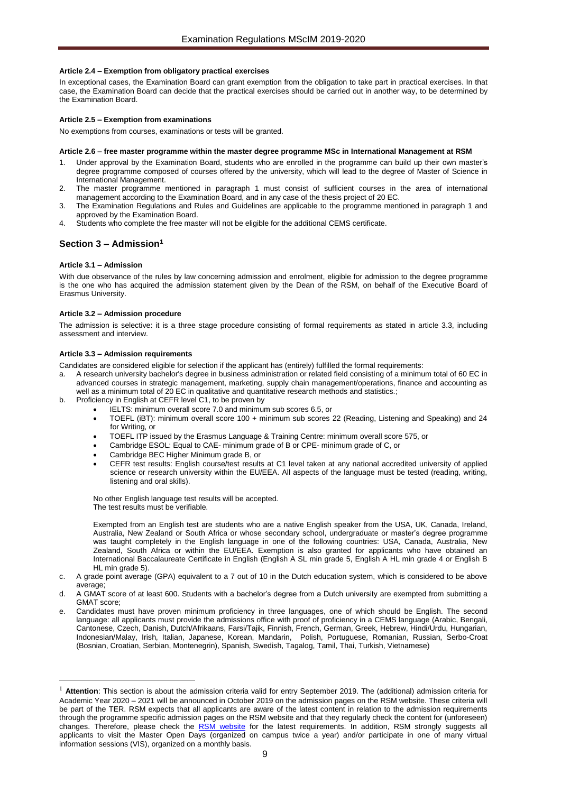## <span id="page-8-0"></span>**Article 2.4 – Exemption from obligatory practical exercises**

In exceptional cases, the Examination Board can grant exemption from the obligation to take part in practical exercises. In that case, the Examination Board can decide that the practical exercises should be carried out in another way, to be determined by the Examination Board.

# <span id="page-8-1"></span>**Article 2.5 – Exemption from examinations**

<span id="page-8-2"></span>No exemptions from courses, examinations or tests will be granted.

#### **Article 2.6 – free master programme within the master degree programme MSc in International Management at RSM**

- 1. Under approval by the Examination Board, students who are enrolled in the programme can build up their own master's degree programme composed of courses offered by the university, which will lead to the degree of Master of Science in International Management.
- 2. The master programme mentioned in paragraph 1 must consist of sufficient courses in the area of international management according to the Examination Board, and in any case of the thesis project of 20 EC.
- 3. The Examination Regulations and Rules and Guidelines are applicable to the programme mentioned in paragraph 1 and approved by the Examination Board.
- 4. Students who complete the free master will not be eligible for the additional CEMS certificate.

# <span id="page-8-4"></span><span id="page-8-3"></span>**Section 3 – Admission<sup>1</sup>**

#### **Article 3.1 – Admission**

1

With due observance of the rules by law concerning admission and enrolment, eligible for admission to the degree programme is the one who has acquired the admission statement given by the Dean of the RSM, on behalf of the Executive Board of Erasmus University.

#### <span id="page-8-5"></span>**Article 3.2 – Admission procedure**

The admission is selective: it is a three stage procedure consisting of formal requirements as stated in article 3.3, including assessment and interview.

## <span id="page-8-6"></span>**Article 3.3 – Admission requirements**

Candidates are considered eligible for selection if the applicant has (entirely) fulfilled the formal requirements:

- a. A research university bachelor's degree in business administration or related field consisting of a minimum total of 60 EC in advanced courses in strategic management, marketing, supply chain management/operations, finance and accounting as well as a minimum total of 20 EC in qualitative and quantitative research methods and statistics.;
- b. Proficiency in English at CEFR level C1, to be proven by
	- IELTS: minimum overall score 7.0 and minimum sub scores 6.5, or
		- TOEFL (iBT): minimum overall score 100 + minimum sub scores 22 (Reading, Listening and Speaking) and 24 for Writing, or
		- TOEFL ITP issued by the Erasmus Language & Training Centre: minimum overall score 575, or
		- Cambridge ESOL: Equal to CAE- minimum grade of B or CPE- minimum grade of C, or
		- Cambridge BEC Higher Minimum grade B, or
		- CEFR test results: English course/test results at C1 level taken at any national accredited university of applied science or research university within the EU/EEA. All aspects of the language must be tested (reading, writing, listening and oral skills).

No other English language test results will be accepted. The test results must be verifiable.

Exempted from an English test are students who are a native English speaker from the USA, UK, Canada, Ireland, Australia, New Zealand or South Africa or whose secondary school, undergraduate or master's degree programme was taught completely in the English language in one of the following countries: USA, Canada, Australia, New Zealand, South Africa or within the EU/EEA. Exemption is also granted for applicants who have obtained an International Baccalaureate Certificate in English (English A SL min grade 5, English A HL min grade 4 or English B HL min grade 5).

c. A grade point average (GPA) equivalent to a 7 out of 10 in the Dutch education system, which is considered to be above average;

d. A GMAT score of at least 600. Students with a bachelor's degree from a Dutch university are exempted from submitting a GMAT score;

e. Candidates must have proven minimum proficiency in three languages, one of which should be English. The second language: all applicants must provide the admissions office with proof of proficiency in a CEMS language (Arabic, Bengali, Cantonese, Czech, Danish, Dutch/Afrikaans, Farsi/Tajik, Finnish, French, German, Greek, Hebrew, Hindi/Urdu, Hungarian, Indonesian/Malay, Irish, Italian, Japanese, Korean, Mandarin, Polish, Portuguese, Romanian, Russian, Serbo-Croat (Bosnian, Croatian, Serbian, Montenegrin), Spanish, Swedish, Tagalog, Tamil, Thai, Turkish, Vietnamese)

<sup>&</sup>lt;sup>1</sup> Attention: This section is about the admission criteria valid for entry September 2019. The (additional) admission criteria for Academic Year 2020 – 2021 will be announced in October 2019 on the admission pages on the RSM website. These criteria will be part of the TER. RSM expects that all applicants are aware of the latest content in relation to the admission requirements through the programme specific admission pages on the RSM website and that they regularly check the content for (unforeseen) changes. Therefore, please check the [RSM website](https://www.rsm.nl/master/msc-programmes/) for the latest requirements. In addition, RSM strongly suggests all applicants to visit the Master Open Days (organized on campus twice a year) and/or participate in one of many virtual information sessions (VIS), organized on a monthly basis.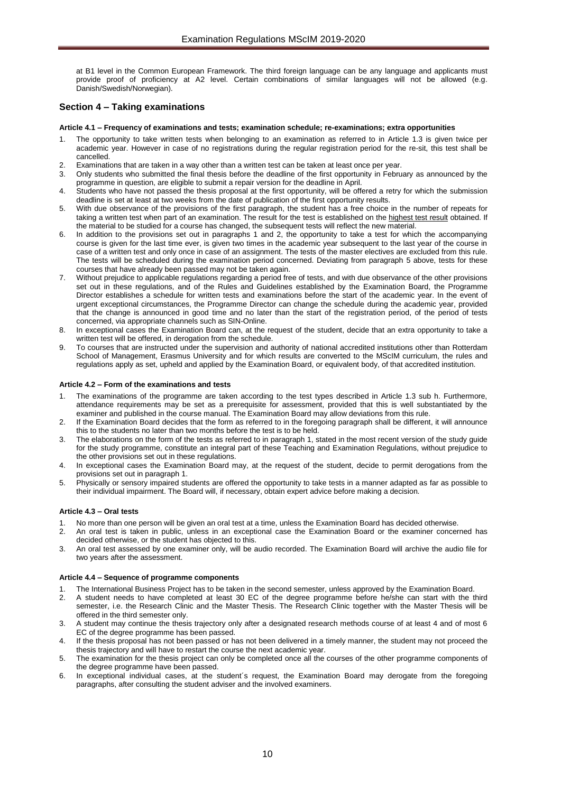at B1 level in the Common European Framework. The third foreign language can be any language and applicants must provide proof of proficiency at A2 level. Certain combinations of similar languages will not be allowed (e.g. Danish/Swedish/Norwegian).

# <span id="page-9-1"></span><span id="page-9-0"></span>**Section 4 – Taking examinations**

# **Article 4.1 – Frequency of examinations and tests; examination schedule; re-examinations; extra opportunities**

- 1. The opportunity to take written tests when belonging to an examination as referred to in Article 1.3 is given twice per academic year. However in case of no registrations during the regular registration period for the re-sit, this test shall be cancelled.
- 2. Examinations that are taken in a way other than a written test can be taken at least once per year.
- 3. Only students who submitted the final thesis before the deadline of the first opportunity in February as announced by the programme in question, are eligible to submit a repair version for the deadline in April.
- 4. Students who have not passed the thesis proposal at the first opportunity, will be offered a retry for which the submission deadline is set at least at two weeks from the date of publication of the first opportunity results.
- 5. With due observance of the provisions of the first paragraph, the student has a free choice in the number of repeats for taking a written test when part of an examination. The result for the test is established on the highest test result obtained. If the material to be studied for a course has changed, the subsequent tests will reflect the new material.
- 6. In addition to the provisions set out in paragraphs 1 and 2, the opportunity to take a test for which the accompanying course is given for the last time ever, is given two times in the academic year subsequent to the last year of the course in case of a written test and only once in case of an assignment. The tests of the master electives are excluded from this rule. The tests will be scheduled during the examination period concerned. Deviating from paragraph 5 above, tests for these courses that have already been passed may not be taken again.
- 7. Without prejudice to applicable regulations regarding a period free of tests, and with due observance of the other provisions set out in these regulations, and of the Rules and Guidelines established by the Examination Board, the Programme Director establishes a schedule for written tests and examinations before the start of the academic year. In the event of urgent exceptional circumstances, the Programme Director can change the schedule during the academic year, provided that the change is announced in good time and no later than the start of the registration period, of the period of tests concerned, via appropriate channels such as SIN-Online.
- 8. In exceptional cases the Examination Board can, at the request of the student, decide that an extra opportunity to take a written test will be offered, in derogation from the schedule.
- 9. To courses that are instructed under the supervision and authority of national accredited institutions other than Rotterdam School of Management, Erasmus University and for which results are converted to the MScIM curriculum, the rules and regulations apply as set, upheld and applied by the Examination Board, or equivalent body, of that accredited institution.

# <span id="page-9-2"></span>**Article 4.2 – Form of the examinations and tests**

- The examinations of the programme are taken according to the test types described in Article 1.3 sub h. Furthermore, attendance requirements may be set as a prerequisite for assessment, provided that this is well substantiated by the examiner and published in the course manual. The Examination Board may allow deviations from this rule.
- 2. If the Examination Board decides that the form as referred to in the foregoing paragraph shall be different, it will announce this to the students no later than two months before the test is to be held.
- 3. The elaborations on the form of the tests as referred to in paragraph 1, stated in the most recent version of the study guide for the study programme, constitute an integral part of these Teaching and Examination Regulations, without prejudice to the other provisions set out in these regulations.
- 4. In exceptional cases the Examination Board may, at the request of the student, decide to permit derogations from the provisions set out in paragraph 1.
- 5. Physically or sensory impaired students are offered the opportunity to take tests in a manner adapted as far as possible to their individual impairment. The Board will, if necessary, obtain expert advice before making a decision.

# <span id="page-9-3"></span>**Article 4.3 – Oral tests**

- No more than one person will be given an oral test at a time, unless the Examination Board has decided otherwise.
- 2. An oral test is taken in public, unless in an exceptional case the Examination Board or the examiner concerned has decided otherwise, or the student has objected to this.
- 3. An oral test assessed by one examiner only, will be audio recorded. The Examination Board will archive the audio file for two years after the assessment.

#### <span id="page-9-4"></span>**Article 4.4 – Sequence of programme components**

- 1. The International Business Project has to be taken in the second semester, unless approved by the Examination Board.
- 2. A student needs to have completed at least 30 EC of the degree programme before he/she can start with the third semester, i.e. the Research Clinic and the Master Thesis. The Research Clinic together with the Master Thesis will be offered in the third semester only.
- 3. A student may continue the thesis trajectory only after a designated research methods course of at least 4 and of most 6 EC of the degree programme has been passed.
- 4. If the thesis proposal has not been passed or has not been delivered in a timely manner, the student may not proceed the thesis trajectory and will have to restart the course the next academic year.
- 5. The examination for the thesis project can only be completed once all the courses of the other programme components of the degree programme have been passed.
- 6. In exceptional individual cases, at the student´s request, the Examination Board may derogate from the foregoing paragraphs, after consulting the student adviser and the involved examiners.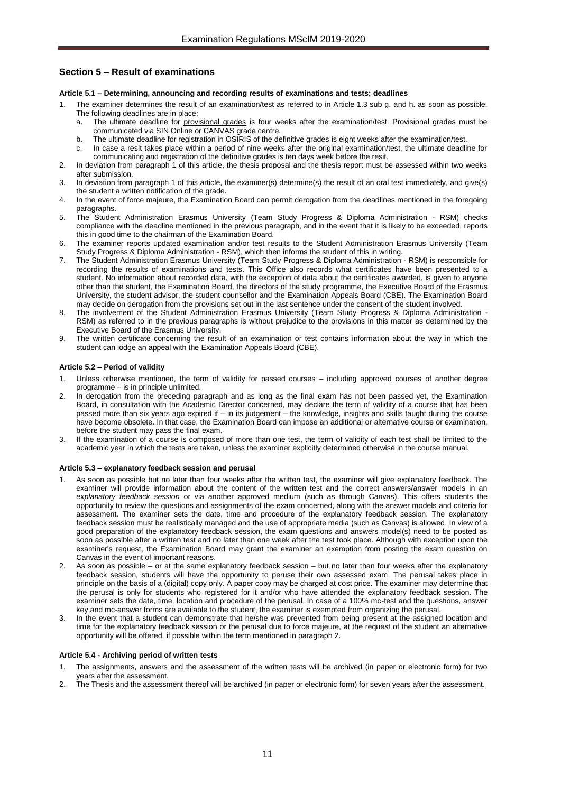# <span id="page-10-1"></span><span id="page-10-0"></span>**Section 5 – Result of examinations**

#### **Article 5.1 – Determining, announcing and recording results of examinations and tests; deadlines**

- The examiner determines the result of an examination/test as referred to in Article 1.3 sub g. and h. as soon as possible. The following deadlines are in place:
	- a. The ultimate deadline for provisional grades is four weeks after the examination/test. Provisional grades must be communicated via SIN Online or CANVAS grade centre.
	-
	- b. The ultimate deadline for registration in OSIRIS of the definitive grades is eight weeks after the examination/test.<br>In case a resit takes place within a period of nine weeks after the original examination/test, the ult In case a resit takes place within a period of nine weeks after the original examination/test, the ultimate deadline for communicating and registration of the definitive grades is ten days week before the resit.
- 2. In deviation from paragraph 1 of this article, the thesis proposal and the thesis report must be assessed within two weeks after submission.
- In deviation from paragraph 1 of this article, the examiner(s) determine(s) the result of an oral test immediately, and give(s) the student a written notification of the grade.
- 4. In the event of force majeure, the Examination Board can permit derogation from the deadlines mentioned in the foregoing paragraphs.
- 5. The Student Administration Erasmus University (Team Study Progress & Diploma Administration RSM) checks compliance with the deadline mentioned in the previous paragraph, and in the event that it is likely to be exceeded, reports this in good time to the chairman of the Examination Board.
- The examiner reports updated examination and/or test results to the Student Administration Erasmus University (Team Study Progress & Diploma Administration - RSM), which then informs the student of this in writing.
- 7. The Student Administration Erasmus University (Team Study Progress & Diploma Administration RSM) is responsible for recording the results of examinations and tests. This Office also records what certificates have been presented to a student. No information about recorded data, with the exception of data about the certificates awarded, is given to anyone other than the student, the Examination Board, the directors of the study programme, the Executive Board of the Erasmus University, the student advisor, the student counsellor and the Examination Appeals Board (CBE). The Examination Board may decide on derogation from the provisions set out in the last sentence under the consent of the student involved.
- 8. The involvement of the Student Administration Erasmus University (Team Study Progress & Diploma Administration RSM) as referred to in the previous paragraphs is without prejudice to the provisions in this matter as determined by the Executive Board of the Erasmus University.
- 9. The written certificate concerning the result of an examination or test contains information about the way in which the student can lodge an appeal with the Examination Appeals Board (CBE).

## <span id="page-10-2"></span>**Article 5.2 – Period of validity**

- Unless otherwise mentioned, the term of validity for passed courses including approved courses of another degree programme – is in principle unlimited.
- 2. In derogation from the preceding paragraph and as long as the final exam has not been passed yet, the Examination Board, in consultation with the Academic Director concerned, may declare the term of validity of a course that has been passed more than six years ago expired if – in its judgement – the knowledge, insights and skills taught during the course have become obsolete. In that case, the Examination Board can impose an additional or alternative course or examination, before the student may pass the final exam.
- 3. If the examination of a course is composed of more than one test, the term of validity of each test shall be limited to the academic year in which the tests are taken, unless the examiner explicitly determined otherwise in the course manual.

#### <span id="page-10-3"></span>**Article 5.3 – explanatory feedback session and perusal**

- As soon as possible but no later than four weeks after the written test, the examiner will give explanatory feedback. The examiner will provide information about the content of the written test and the correct answers/answer models in an *explanatory feedback session* or via another approved medium (such as through Canvas). This offers students the opportunity to review the questions and assignments of the exam concerned, along with the answer models and criteria for assessment. The examiner sets the date, time and procedure of the explanatory feedback session. The explanatory feedback session must be realistically managed and the use of appropriate media (such as Canvas) is allowed. In view of a good preparation of the explanatory feedback session, the exam questions and answers model(s) need to be posted as soon as possible after a written test and no later than one week after the test took place. Although with exception upon the examiner's request, the Examination Board may grant the examiner an exemption from posting the exam question on Canvas in the event of important reasons.
- As soon as possible or at the same explanatory feedback session but no later than four weeks after the explanatory feedback session, students will have the opportunity to peruse their own assessed exam. The perusal takes place in principle on the basis of a (digital) copy only. A paper copy may be charged at cost price. The examiner may determine that the perusal is only for students who registered for it and/or who have attended the explanatory feedback session. The examiner sets the date, time, location and procedure of the perusal. In case of a 100% mc-test and the questions, answer key and mc-answer forms are available to the student, the examiner is exempted from organizing the perusal.
- 3. In the event that a student can demonstrate that he/she was prevented from being present at the assigned location and time for the explanatory feedback session or the perusal due to force majeure, at the request of the student an alternative opportunity will be offered, if possible within the term mentioned in paragraph 2.

#### <span id="page-10-4"></span>**Article 5.4 - Archiving period of written tests**

- 1. The assignments, answers and the assessment of the written tests will be archived (in paper or electronic form) for two years after the assessment.
- 2. The Thesis and the assessment thereof will be archived (in paper or electronic form) for seven years after the assessment.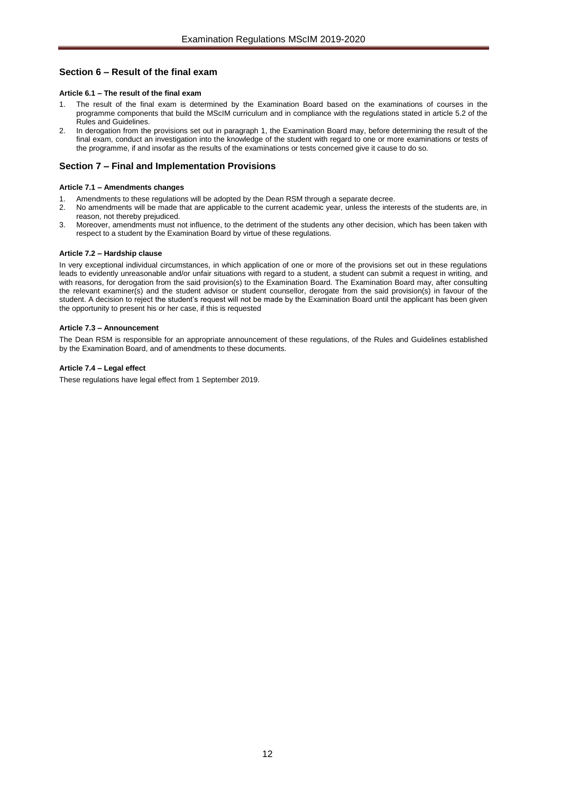# <span id="page-11-1"></span><span id="page-11-0"></span>**Section 6 – Result of the final exam**

# **Article 6.1 – The result of the final exam**

- The result of the final exam is determined by the Examination Board based on the examinations of courses in the programme components that build the MScIM curriculum and in compliance with the regulations stated in article 5.2 of the Rules and Guidelines.
- 2. In derogation from the provisions set out in paragraph 1, the Examination Board may, before determining the result of the final exam, conduct an investigation into the knowledge of the student with regard to one or more examinations or tests of the programme, if and insofar as the results of the examinations or tests concerned give it cause to do so.

# <span id="page-11-2"></span>**Section 7 – Final and Implementation Provisions**

# <span id="page-11-3"></span>**Article 7.1 – Amendments changes**

- 1. Amendments to these regulations will be adopted by the Dean RSM through a separate decree.
- 2. No amendments will be made that are applicable to the current academic year, unless the interests of the students are, in reason, not thereby prejudiced.
- 3. Moreover, amendments must not influence, to the detriment of the students any other decision, which has been taken with respect to a student by the Examination Board by virtue of these regulations.

# <span id="page-11-4"></span>**Article 7.2 – Hardship clause**

In very exceptional individual circumstances, in which application of one or more of the provisions set out in these regulations leads to evidently unreasonable and/or unfair situations with regard to a student, a student can submit a request in writing, and with reasons, for derogation from the said provision(s) to the Examination Board. The Examination Board may, after consulting the relevant examiner(s) and the student advisor or student counsellor, derogate from the said provision(s) in favour of the student. A decision to reject the student's request will not be made by the Examination Board until the applicant has been given the opportunity to present his or her case, if this is requested

# <span id="page-11-5"></span>**Article 7.3 – Announcement**

The Dean RSM is responsible for an appropriate announcement of these regulations, of the Rules and Guidelines established by the Examination Board, and of amendments to these documents.

# <span id="page-11-6"></span>**Article 7.4 – Legal effect**

These regulations have legal effect from 1 September 2019.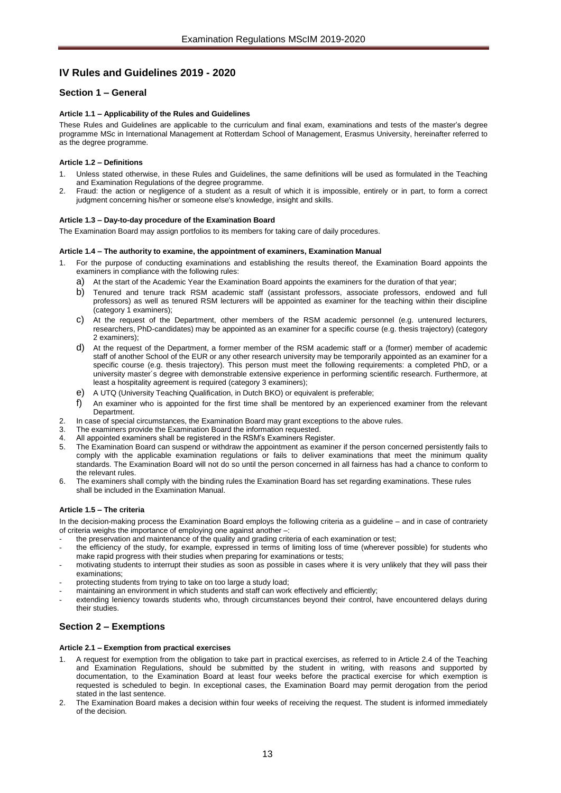# <span id="page-12-0"></span>**IV Rules and Guidelines 2019 - 2020**

# <span id="page-12-2"></span><span id="page-12-1"></span>**Section 1 – General**

# **Article 1.1 – Applicability of the Rules and Guidelines**

These Rules and Guidelines are applicable to the curriculum and final exam, examinations and tests of the master's degree programme MSc in International Management at Rotterdam School of Management, Erasmus University, hereinafter referred to as the degree programme.

# <span id="page-12-3"></span>**Article 1.2 – Definitions**

- Unless stated otherwise, in these Rules and Guidelines, the same definitions will be used as formulated in the Teaching and Examination Regulations of the degree programme.
- 2. Fraud: the action or negligence of a student as a result of which it is impossible, entirely or in part, to form a correct judgment concerning his/her or someone else's knowledge, insight and skills.

# <span id="page-12-4"></span>**Article 1.3 – Day-to-day procedure of the Examination Board**

<span id="page-12-5"></span>The Examination Board may assign portfolios to its members for taking care of daily procedures.

# **Article 1.4 – The authority to examine, the appointment of examiners, Examination Manual**

- 1. For the purpose of conducting examinations and establishing the results thereof, the Examination Board appoints the examiners in compliance with the following rules:
	- a) At the start of the Academic Year the Examination Board appoints the examiners for the duration of that year;
	- b) Tenured and tenure track RSM academic staff (assistant professors, associate professors, endowed and full professors) as well as tenured RSM lecturers will be appointed as examiner for the teaching within their discipline (category 1 examiners);
	- c) At the request of the Department, other members of the RSM academic personnel (e.g. untenured lecturers, researchers, PhD-candidates) may be appointed as an examiner for a specific course (e.g. thesis trajectory) (category 2 examiners);
	- d) At the request of the Department, a former member of the RSM academic staff or a (former) member of academic staff of another School of the EUR or any other research university may be temporarily appointed as an examiner for a specific course (e.g. thesis trajectory). This person must meet the following requirements: a completed PhD, or a university master´s degree with demonstrable extensive experience in performing scientific research. Furthermore, at least a hospitality agreement is required (category 3 examiners);
	- e) A UTQ (University Teaching Qualification, in Dutch BKO) or equivalent is preferable;
	- f) An examiner who is appointed for the first time shall be mentored by an experienced examiner from the relevant Department.
- 2. In case of special circumstances, the Examination Board may grant exceptions to the above rules.
- 3. The examiners provide the Examination Board the information requested.
- 4. All appointed examiners shall be registered in the RSM's Examiners Register.<br>5. The Examination Board can suspend or withdraw the appointment as examine
- 5. The Examination Board can suspend or withdraw the appointment as examiner if the person concerned persistently fails to comply with the applicable examination regulations or fails to deliver examinations that meet the minimum quality standards. The Examination Board will not do so until the person concerned in all fairness has had a chance to conform to the relevant rules.
- 6. The examiners shall comply with the binding rules the Examination Board has set regarding examinations. These rules shall be included in the Examination Manual.

# <span id="page-12-6"></span>**Article 1.5 – The criteria**

In the decision-making process the Examination Board employs the following criteria as a guideline – and in case of contrariety of criteria weighs the importance of employing one against another –:

the preservation and maintenance of the quality and grading criteria of each examination or test;

- the efficiency of the study, for example, expressed in terms of limiting loss of time (wherever possible) for students who make rapid progress with their studies when preparing for examinations or tests;
- motivating students to interrupt their studies as soon as possible in cases where it is very unlikely that they will pass their examinations;
- protecting students from trying to take on too large a study load;
- maintaining an environment in which students and staff can work effectively and efficiently;
- extending leniency towards students who, through circumstances beyond their control, have encountered delays during their studies.

# <span id="page-12-8"></span><span id="page-12-7"></span>**Section 2 – Exemptions**

#### **Article 2.1 – Exemption from practical exercises**

- 1. A request for exemption from the obligation to take part in practical exercises, as referred to in Article 2.4 of the Teaching and Examination Regulations, should be submitted by the student in writing, with reasons and supported by documentation, to the Examination Board at least four weeks before the practical exercise for which exemption is requested is scheduled to begin. In exceptional cases, the Examination Board may permit derogation from the period stated in the last sentence.
- 2. The Examination Board makes a decision within four weeks of receiving the request. The student is informed immediately of the decision.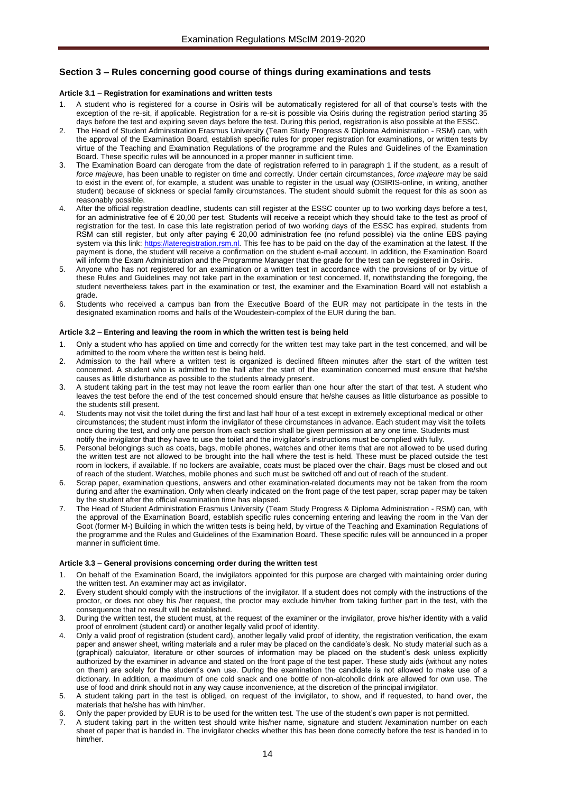# <span id="page-13-1"></span><span id="page-13-0"></span>**Section 3 – Rules concerning good course of things during examinations and tests**

# **Article 3.1 – Registration for examinations and written tests**

- 1. A student who is registered for a course in Osiris will be automatically registered for all of that course's tests with the exception of the re-sit, if applicable. Registration for a re-sit is possible via Osiris during the registration period starting 35 days before the test and expiring seven days before the test. During this period, registration is also possible at the ESSC.
- 2. The Head of Student Administration Erasmus University (Team Study Progress & Diploma Administration RSM) can, with the approval of the Examination Board, establish specific rules for proper registration for examinations, or written tests by virtue of the Teaching and Examination Regulations of the programme and the Rules and Guidelines of the Examination Board. These specific rules will be announced in a proper manner in sufficient time.
- 3. The Examination Board can derogate from the date of registration referred to in paragraph 1 if the student, as a result of *force majeure*, has been unable to register on time and correctly. Under certain circumstances, *force majeure* may be said to exist in the event of, for example, a student was unable to register in the usual way (OSIRIS-online, in writing, another student) because of sickness or special family circumstances. The student should submit the request for this as soon as reasonably possible.
- After the official registration deadline, students can still register at the ESSC counter up to two working days before a test, for an administrative fee of € 20,00 per test. Students will receive a receipt which they should take to the test as proof of registration for the test. In case this late registration period of two working days of the ESSC has expired, students from RSM can still register, but only after paying € 20,00 administration fee (no refund possible) via the online EBS paying system via this link: [https://lateregistration.rsm.nl.](https://lateregistration.rsm.nl/) This fee has to be paid on the day of the examination at the latest. If the payment is done, the student will receive a confirmation on the student e-mail account. In addition, the Examination Board will inform the Exam Administration and the Programme Manager that the grade for the test can be registered in Osiris.
- 5. Anyone who has not registered for an examination or a written test in accordance with the provisions of or by virtue of these Rules and Guidelines may not take part in the examination or test concerned. If, notwithstanding the foregoing, the student nevertheless takes part in the examination or test, the examiner and the Examination Board will not establish a grade.
- 6. Students who received a campus ban from the Executive Board of the EUR may not participate in the tests in the designated examination rooms and halls of the Woudestein-complex of the EUR during the ban.

#### <span id="page-13-2"></span>**Article 3.2 – Entering and leaving the room in which the written test is being held**

- 1. Only a student who has applied on time and correctly for the written test may take part in the test concerned, and will be admitted to the room where the written test is being held.
- 2. Admission to the hall where a written test is organized is declined fifteen minutes after the start of the written test concerned. A student who is admitted to the hall after the start of the examination concerned must ensure that he/she causes as little disturbance as possible to the students already present.
- 3. A student taking part in the test may not leave the room earlier than one hour after the start of that test. A student who leaves the test before the end of the test concerned should ensure that he/she causes as little disturbance as possible to the students still present.
- 4. Students may not visit the toilet during the first and last half hour of a test except in extremely exceptional medical or other circumstances; the student must inform the invigilator of these circumstances in advance. Each student may visit the toilets once during the test, and only one person from each section shall be given permission at any one time. Students must notify the invigilator that they have to use the toilet and the invigilator's instructions must be complied with fully.
- 5. Personal belongings such as coats, bags, mobile phones, watches and other items that are not allowed to be used during the written test are not allowed to be brought into the hall where the test is held. These must be placed outside the test room in lockers, if available. If no lockers are available, coats must be placed over the chair. Bags must be closed and out of reach of the student. Watches, mobile phones and such must be switched off and out of reach of the student.
- 6. Scrap paper, examination questions, answers and other examination-related documents may not be taken from the room during and after the examination. Only when clearly indicated on the front page of the test paper, scrap paper may be taken by the student after the official examination time has elapsed.
- 7. The Head of Student Administration Erasmus University (Team Study Progress & Diploma Administration RSM) can, with the approval of the Examination Board, establish specific rules concerning entering and leaving the room in the Van der Goot (former M-) Building in which the written tests is being held, by virtue of the Teaching and Examination Regulations of the programme and the Rules and Guidelines of the Examination Board. These specific rules will be announced in a proper manner in sufficient time.

## <span id="page-13-3"></span>**Article 3.3 – General provisions concerning order during the written test**

- 1. On behalf of the Examination Board, the invigilators appointed for this purpose are charged with maintaining order during the written test. An examiner may act as invigilator.
- 2. Every student should comply with the instructions of the invigilator. If a student does not comply with the instructions of the proctor, or does not obey his /her request, the proctor may exclude him/her from taking further part in the test, with the consequence that no result will be established.
- 3. During the written test, the student must, at the request of the examiner or the invigilator, prove his/her identity with a valid proof of enrolment (student card) or another legally valid proof of identity.
- 4. Only a valid proof of registration (student card), another legally valid proof of identity, the registration verification, the exam paper and answer sheet, writing materials and a ruler may be placed on the candidate's desk. No study material such as a (graphical) calculator, literature or other sources of information may be placed on the student's desk unless explicitly authorized by the examiner in advance and stated on the front page of the test paper. These study aids (without any notes on them) are solely for the student's own use. During the examination the candidate is not allowed to make use of a dictionary. In addition, a maximum of one cold snack and one bottle of non-alcoholic drink are allowed for own use. The use of food and drink should not in any way cause inconvenience, at the discretion of the principal invigilator.
- 5. A student taking part in the test is obliged, on request of the invigilator, to show, and if requested, to hand over, the materials that he/she has with him/her.
- 6. Only the paper provided by EUR is to be used for the written test. The use of the student's own paper is not permitted.
- 7. A student taking part in the written test should write his/her name, signature and student /examination number on each sheet of paper that is handed in. The invigilator checks whether this has been done correctly before the test is handed in to him/her.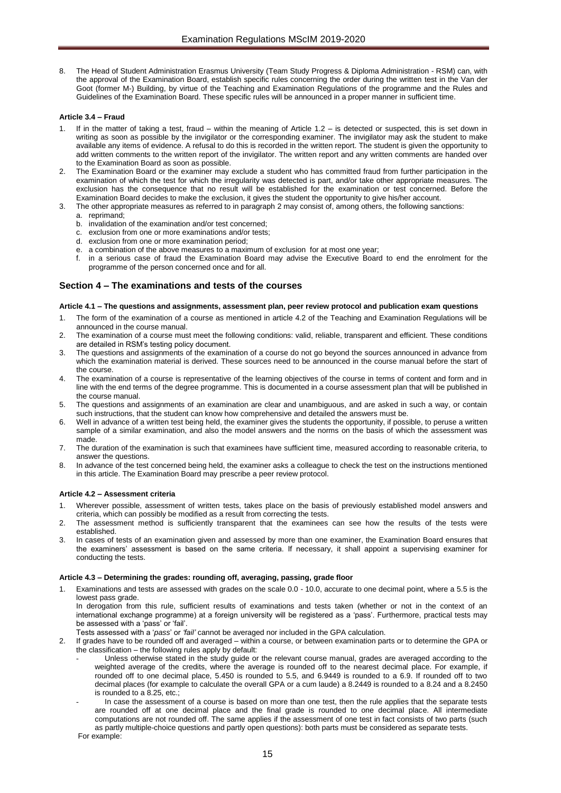8. The Head of Student Administration Erasmus University (Team Study Progress & Diploma Administration - RSM) can, with the approval of the Examination Board, establish specific rules concerning the order during the written test in the Van der Goot (former M-) Building, by virtue of the Teaching and Examination Regulations of the programme and the Rules and Guidelines of the Examination Board. These specific rules will be announced in a proper manner in sufficient time.

#### <span id="page-14-0"></span>**Article 3.4 – Fraud**

- If in the matter of taking a test, fraud within the meaning of Article 1.2 is detected or suspected, this is set down in writing as soon as possible by the invigilator or the corresponding examiner. The invigilator may ask the student to make available any items of evidence. A refusal to do this is recorded in the written report. The student is given the opportunity to add written comments to the written report of the invigilator. The written report and any written comments are handed over to the Examination Board as soon as possible.
- The Examination Board or the examiner may exclude a student who has committed fraud from further participation in the examination of which the test for which the irregularity was detected is part, and/or take other appropriate measures. The exclusion has the consequence that no result will be established for the examination or test concerned. Before the Examination Board decides to make the exclusion, it gives the student the opportunity to give his/her account.
- 3. The other appropriate measures as referred to in paragraph 2 may consist of, among others, the following sanctions:
	- a. reprimand;
	- b. invalidation of the examination and/or test concerned;
	- c. exclusion from one or more examinations and/or tests;
	- d. exclusion from one or more examination period;
	- e. a combination of the above measures to a maximum of exclusion for at most one year;
	- in a serious case of fraud the Examination Board may advise the Executive Board to end the enrolment for the programme of the person concerned once and for all.

# <span id="page-14-1"></span>**Section 4 – The examinations and tests of the courses**

#### <span id="page-14-2"></span>**Article 4.1 – The questions and assignments, assessment plan, peer review protocol and publication exam questions**

- 1. The form of the examination of a course as mentioned in article 4.2 of the Teaching and Examination Regulations will be announced in the course manual.
- 2. The examination of a course must meet the following conditions: valid, reliable, transparent and efficient. These conditions are detailed in RSM's testing policy document.
- 3. The questions and assignments of the examination of a course do not go beyond the sources announced in advance from which the examination material is derived. These sources need to be announced in the course manual before the start of the course.
- 4. The examination of a course is representative of the learning objectives of the course in terms of content and form and in line with the end terms of the degree programme. This is documented in a course assessment plan that will be published in the course manual.
- 5. The questions and assignments of an examination are clear and unambiguous, and are asked in such a way, or contain such instructions, that the student can know how comprehensive and detailed the answers must be.
- 6. Well in advance of a written test being held, the examiner gives the students the opportunity, if possible, to peruse a written sample of a similar examination, and also the model answers and the norms on the basis of which the assessment was made.
- 7. The duration of the examination is such that examinees have sufficient time, measured according to reasonable criteria, to answer the questions.
- 8. In advance of the test concerned being held, the examiner asks a colleague to check the test on the instructions mentioned in this article. The Examination Board may prescribe a peer review protocol.

#### <span id="page-14-3"></span>**Article 4.2 – Assessment criteria**

- 1. Wherever possible, assessment of written tests, takes place on the basis of previously established model answers and criteria, which can possibly be modified as a result from correcting the tests.
- The assessment method is sufficiently transparent that the examinees can see how the results of the tests were established.
- 3. In cases of tests of an examination given and assessed by more than one examiner, the Examination Board ensures that the examiners' assessment is based on the same criteria. If necessary, it shall appoint a supervising examiner for conducting the tests.

#### <span id="page-14-4"></span>**Article 4.3 – Determining the grades: rounding off, averaging, passing, grade floor**

Examinations and tests are assessed with grades on the scale 0.0 - 10.0, accurate to one decimal point, where a 5.5 is the lowest pass grade.

In derogation from this rule, sufficient results of examinations and tests taken (whether or not in the context of an international exchange programme) at a foreign university will be registered as a 'pass'. Furthermore, practical tests may be assessed with a 'pass' or 'fail'.

- Tests assessed with a '*pass*' or *'fail'* cannot be averaged nor included in the GPA calculation.
- 2. If grades have to be rounded off and averaged within a course, or between examination parts or to determine the GPA or the classification – the following rules apply by default:
	- Unless otherwise stated in the study guide or the relevant course manual, grades are averaged according to the weighted average of the credits, where the average is rounded off to the nearest decimal place. For example, if rounded off to one decimal place, 5.450 is rounded to 5.5, and 6.9449 is rounded to a 6.9. If rounded off to two decimal places (for example to calculate the overall GPA or a cum laude) a 8.2449 is rounded to a 8.24 and a 8.2450 is rounded to a 8.25, etc.;
	- In case the assessment of a course is based on more than one test, then the rule applies that the separate tests are rounded off at one decimal place and the final grade is rounded to one decimal place. All intermediate computations are not rounded off. The same applies if the assessment of one test in fact consists of two parts (such as partly multiple-choice questions and partly open questions): both parts must be considered as separate tests. For example: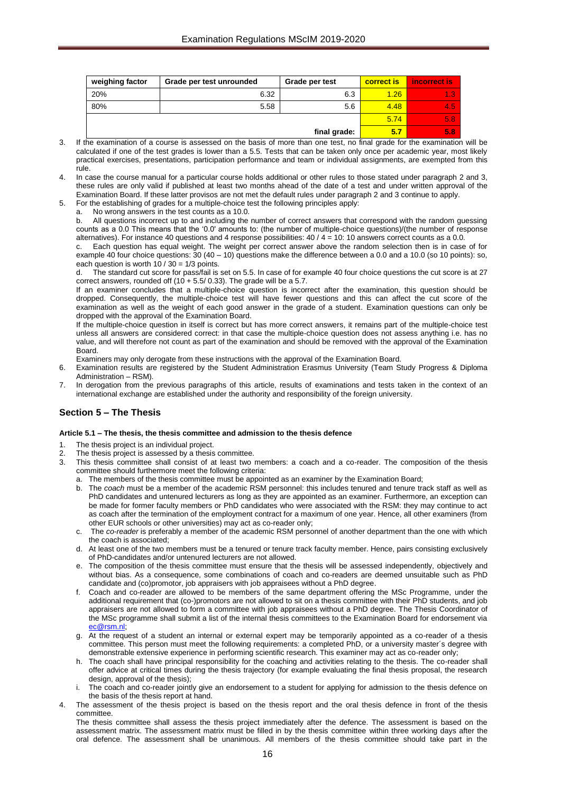| weighing factor | Grade per test unrounded | Grade per test | <b>correct is</b> | <b>Incorrect is</b> |
|-----------------|--------------------------|----------------|-------------------|---------------------|
| 20%             | 6.32                     | 6.3            | 1.26              | 1.3                 |
| 80%             | 5.58                     | 5.6            | 4.48              | 4.5                 |
|                 |                          |                | 5.74              | 5.8                 |
|                 |                          | final grade:   | 5.7               | 5.8                 |

- 3. If the examination of a course is assessed on the basis of more than one test, no final grade for the examination will be calculated if one of the test grades is lower than a 5.5. Tests that can be taken only once per academic year, most likely practical exercises, presentations, participation performance and team or individual assignments, are exempted from this rule.
- 4. In case the course manual for a particular course holds additional or other rules to those stated under paragraph 2 and 3, these rules are only valid if published at least two months ahead of the date of a test and under written approval of the Examination Board. If these latter provisos are not met the default rules under paragraph 2 and 3 continue to apply.
- 5. For the establishing of grades for a multiple-choice test the following principles apply:
	- a. No wrong answers in the test counts as a 10.0.

b. All questions incorrect up to and including the number of correct answers that correspond with the random guessing counts as a 0.0 This means that the '0.0' amounts to: (the number of multiple-choice questions)/(the number of response alternatives). For instance 40 questions and 4 response possibilities:  $40 / 4 = 10$ : 10 answers correct counts as a 0.0.

c. Each question has equal weight. The weight per correct answer above the random selection then is in case of for example 40 four choice questions:  $30 (40 - 10)$  questions make the difference between a 0.0 and a 10.0 (so 10 points): so, each question is worth  $10 / 30 = 1/3$  points.

d. The standard cut score for pass/fail is set on 5.5. In case of for example 40 four choice questions the cut score is at 27 correct answers, rounded off  $(10 + 5.5/ 0.33)$ . The grade will be a 5.7.

If an examiner concludes that a multiple-choice question is incorrect after the examination, this question should be dropped. Consequently, the multiple-choice test will have fewer questions and this can affect the cut score of the examination as well as the weight of each good answer in the grade of a student. Examination questions can only be dropped with the approval of the Examination Board.

If the multiple-choice question in itself is correct but has more correct answers, it remains part of the multiple-choice test unless all answers are considered correct: in that case the multiple-choice question does not assess anything i.e. has no value, and will therefore not count as part of the examination and should be removed with the approval of the Examination **Board** 

Examiners may only derogate from these instructions with the approval of the Examination Board.

- 6. Examination results are registered by the Student Administration Erasmus University (Team Study Progress & Diploma Administration – RSM).
- 7. In derogation from the previous paragraphs of this article, results of examinations and tests taken in the context of an international exchange are established under the authority and responsibility of the foreign university.

# <span id="page-15-0"></span>**Section 5 – The Thesis**

#### <span id="page-15-1"></span>**Article 5.1 – The thesis, the thesis committee and admission to the thesis defence**

- 1. The thesis project is an individual project.
- 2. The thesis project is assessed by a thesis committee.<br>2. This thesis committee shall consist of at least two
- This thesis committee shall consist of at least two members: a coach and a co-reader. The composition of the thesis committee should furthermore meet the following criteria:
	- a. The members of the thesis committee must be appointed as an examiner by the Examination Board;
	- b. The *coach* must be a member of the academic RSM personnel: this includes tenured and tenure track staff as well as PhD candidates and untenured lecturers as long as they are appointed as an examiner. Furthermore, an exception can be made for former faculty members or PhD candidates who were associated with the RSM: they may continue to act as coach after the termination of the employment contract for a maximum of one year. Hence, all other examiners (from other EUR schools or other universities) may act as co-reader only;
	- c. The *co-reader* is preferably a member of the academic RSM personnel of another department than the one with which the coach is associated;
	- d. At least one of the two members must be a tenured or tenure track faculty member. Hence, pairs consisting exclusively of PhD-candidates and/or untenured lecturers are not allowed.
	- e. The composition of the thesis committee must ensure that the thesis will be assessed independently, objectively and without bias. As a consequence, some combinations of coach and co-readers are deemed unsuitable such as PhD candidate and (co)promotor, job appraisers with job appraisees without a PhD degree.
	- f. Coach and co-reader are allowed to be members of the same department offering the MSc Programme, under the additional requirement that (co-)promotors are not allowed to sit on a thesis committee with their PhD students, and job appraisers are not allowed to form a committee with job appraisees without a PhD degree. The Thesis Coordinator of the MSc programme shall submit a list of the internal thesis committees to the Examination Board for endorsement via [ec@rsm.nl;](mailto:ec@rsm.nl)
	- g. At the request of a student an internal or external expert may be temporarily appointed as a co-reader of a thesis committee. This person must meet the following requirements: a completed PhD, or a university master´s degree with demonstrable extensive experience in performing scientific research. This examiner may act as co-reader only;
	- h. The coach shall have principal responsibility for the coaching and activities relating to the thesis. The co-reader shall offer advice at critical times during the thesis trajectory (for example evaluating the final thesis proposal, the research design, approval of the thesis);
	- The coach and co-reader jointly give an endorsement to a student for applying for admission to the thesis defence on the basis of the thesis report at hand.
- The assessment of the thesis project is based on the thesis report and the oral thesis defence in front of the thesis committee.
	- The thesis committee shall assess the thesis project immediately after the defence. The assessment is based on the assessment matrix. The assessment matrix must be filled in by the thesis committee within three working days after the oral defence. The assessment shall be unanimous. All members of the thesis committee should take part in the